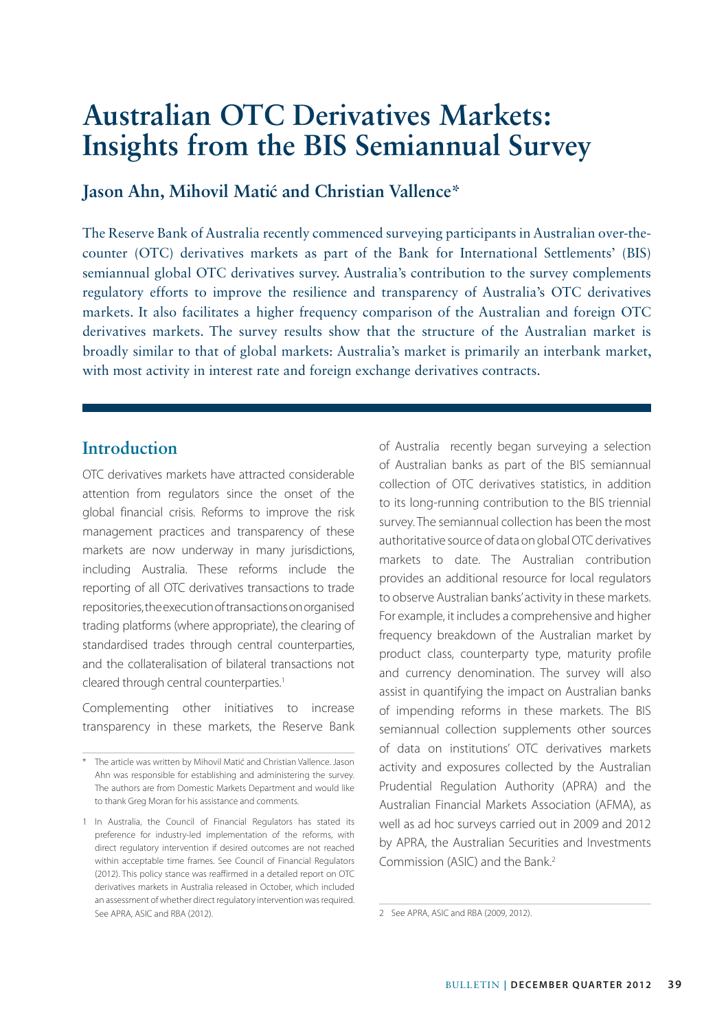# **Australian OTC Derivatives Markets: Insights from the BIS Semiannual Survey**

#### Jason Ahn, Mihovil Matić and Christian Vallence\*

The Reserve Bank of Australia recently commenced surveying participants in Australian over-thecounter (OTC) derivatives markets as part of the Bank for International Settlements' (BIS) semiannual global OTC derivatives survey. Australia's contribution to the survey complements regulatory efforts to improve the resilience and transparency of Australia's OTC derivatives markets. It also facilitates a higher frequency comparison of the Australian and foreign OTC derivatives markets. The survey results show that the structure of the Australian market is broadly similar to that of global markets: Australia's market is primarily an interbank market, with most activity in interest rate and foreign exchange derivatives contracts.

#### **Introduction**

OTC derivatives markets have attracted considerable attention from regulators since the onset of the global financial crisis. Reforms to improve the risk management practices and transparency of these markets are now underway in many jurisdictions, including Australia. These reforms include the reporting of all OTC derivatives transactions to trade repositories, the execution of transactions on organised trading platforms (where appropriate), the clearing of standardised trades through central counterparties, and the collateralisation of bilateral transactions not cleared through central counterparties.<sup>1</sup>

Complementing other initiatives to increase transparency in these markets, the Reserve Bank of Australia recently began surveying a selection of Australian banks as part of the BIS semiannual collection of OTC derivatives statistics, in addition to its long-running contribution to the BIS triennial survey. The semiannual collection has been the most authoritative source of data on global OTC derivatives markets to date. The Australian contribution provides an additional resource for local regulators to observe Australian banks' activity in these markets. For example, it includes a comprehensive and higher frequency breakdown of the Australian market by product class, counterparty type, maturity profile and currency denomination. The survey will also assist in quantifying the impact on Australian banks of impending reforms in these markets. The BIS semiannual collection supplements other sources of data on institutions' OTC derivatives markets activity and exposures collected by the Australian Prudential Regulation Authority (APRA) and the Australian Financial Markets Association (AFMA), as well as ad hoc surveys carried out in 2009 and 2012 by APRA, the Australian Securities and Investments Commission (ASIC) and the Bank.2

<sup>\*</sup> The article was written by Mihovil Matić and Christian Vallence. Jason Ahn was responsible for establishing and administering the survey. The authors are from Domestic Markets Department and would like to thank Greg Moran for his assistance and comments.

<sup>1</sup> In Australia, the Council of Financial Regulators has stated its preference for industry-led implementation of the reforms, with direct regulatory intervention if desired outcomes are not reached within acceptable time frames. See Council of Financial Regulators (2012). This policy stance was reaffirmed in a detailed report on OTC derivatives markets in Australia released in October, which included an assessment of whether direct regulatory intervention was required. See APRA, ASIC and RBA (2012).

<sup>2</sup> See APRA, ASIC and RBA (2009, 2012).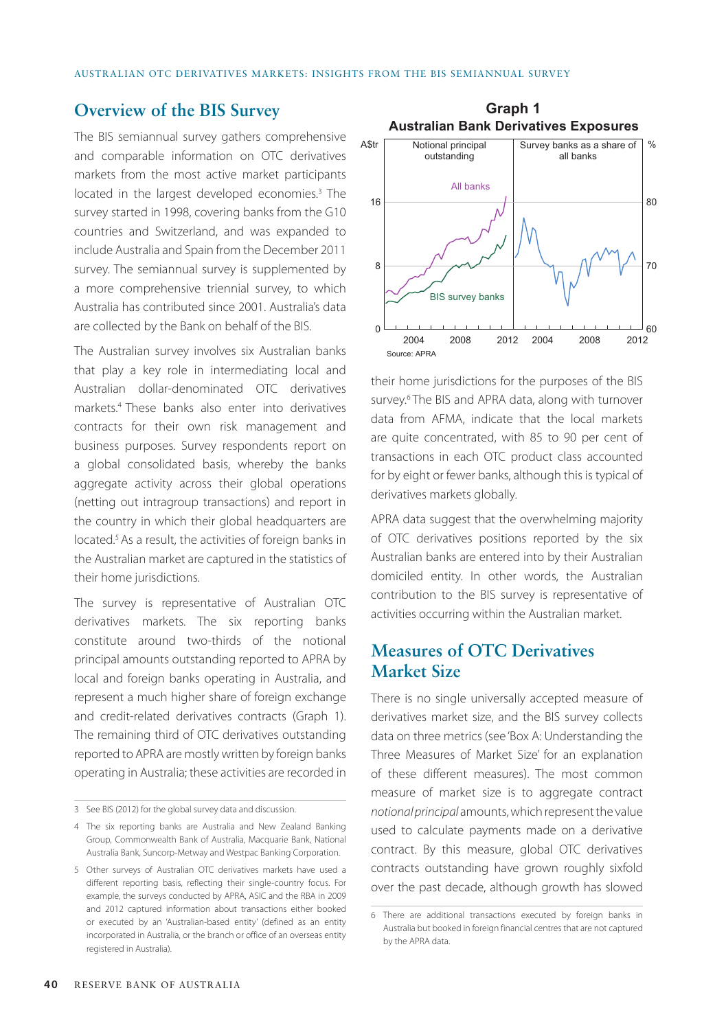#### **Overview of the BIS Survey**

The BIS semiannual survey gathers comprehensive and comparable information on OTC derivatives markets from the most active market participants located in the largest developed economies.<sup>3</sup> The survey started in 1998, covering banks from the G10 countries and Switzerland, and was expanded to include Australia and Spain from the December 2011 survey. The semiannual survey is supplemented by a more comprehensive triennial survey, to which Australia has contributed since 2001. Australia's data are collected by the Bank on behalf of the BIS.

The Australian survey involves six Australian banks that play a key role in intermediating local and Australian dollar-denominated OTC derivatives markets.4 These banks also enter into derivatives contracts for their own risk management and business purposes. Survey respondents report on a global consolidated basis, whereby the banks aggregate activity across their global operations (netting out intragroup transactions) and report in the country in which their global headquarters are located.<sup>5</sup> As a result, the activities of foreign banks in the Australian market are captured in the statistics of their home jurisdictions.

The survey is representative of Australian OTC derivatives markets. The six reporting banks constitute around two-thirds of the notional principal amounts outstanding reported to APRA by local and foreign banks operating in Australia, and represent a much higher share of foreign exchange and credit-related derivatives contracts (Graph 1). The remaining third of OTC derivatives outstanding reported to APRA are mostly written by foreign banks operating in Australia; these activities are recorded in



their home jurisdictions for the purposes of the BIS survey.<sup>6</sup> The BIS and APRA data, along with turnover data from AFMA, indicate that the local markets are quite concentrated, with 85 to 90 per cent of transactions in each OTC product class accounted for by eight or fewer banks, although this is typical of derivatives markets globally.

APRA data suggest that the overwhelming majority of OTC derivatives positions reported by the six Australian banks are entered into by their Australian domiciled entity. In other words, the Australian contribution to the BIS survey is representative of activities occurring within the Australian market.

## **Measures of OTC Derivatives Market Size**

There is no single universally accepted measure of derivatives market size, and the BIS survey collects data on three metrics (see 'Box A: Understanding the Three Measures of Market Size' for an explanation of these different measures). The most common measure of market size is to aggregate contract *notional principal* amounts, which represent the value used to calculate payments made on a derivative contract. By this measure, global OTC derivatives contracts outstanding have grown roughly sixfold over the past decade, although growth has slowed

<sup>3</sup> See BIS (2012) for the global survey data and discussion.

<sup>4</sup> The six reporting banks are Australia and New Zealand Banking Group, Commonwealth Bank of Australia, Macquarie Bank, National Australia Bank, Suncorp-Metway and Westpac Banking Corporation.

<sup>5</sup> Other surveys of Australian OTC derivatives markets have used a different reporting basis, reflecting their single-country focus. For example, the surveys conducted by APRA, ASIC and the RBA in 2009 and 2012 captured information about transactions either booked or executed by an 'Australian-based entity' (defined as an entity incorporated in Australia, or the branch or office of an overseas entity registered in Australia).

<sup>6</sup> There are additional transactions executed by foreign banks in Australia but booked in foreign financial centres that are not captured by the APRA data.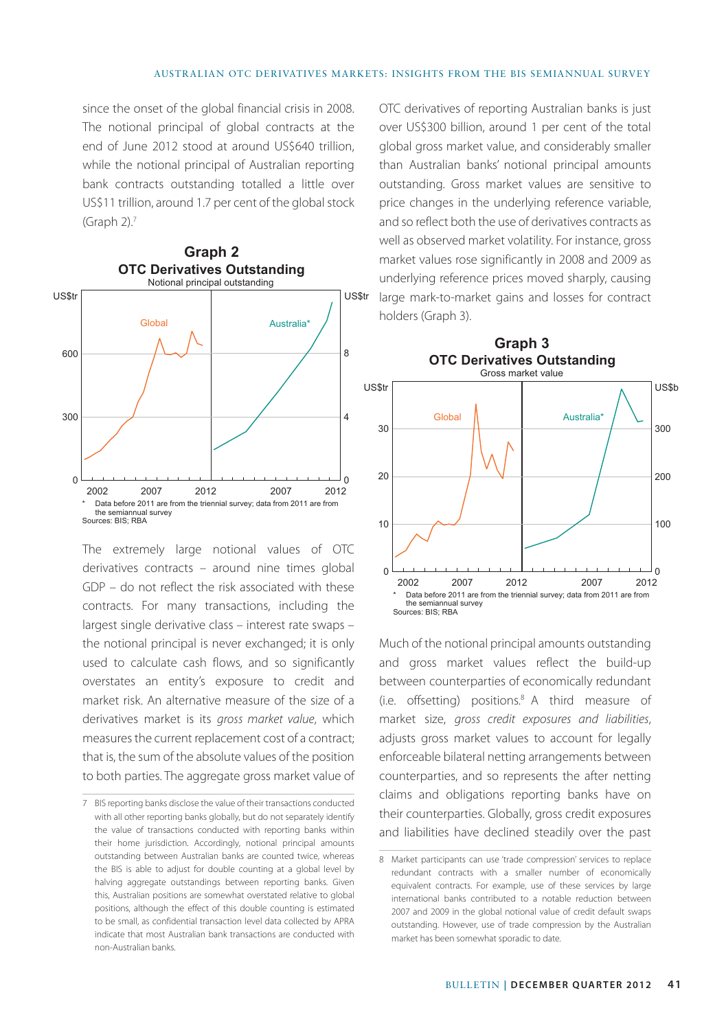since the onset of the global financial crisis in 2008. The notional principal of global contracts at the end of June 2012 stood at around US\$640 trillion, while the notional principal of Australian reporting bank contracts outstanding totalled a little over US\$11 trillion, around 1.7 per cent of the global stock (Graph  $2$ ).<sup>7</sup>



The extremely large notional values of OTC derivatives contracts – around nine times global GDP – do not reflect the risk associated with these contracts. For many transactions, including the largest single derivative class – interest rate swaps – the notional principal is never exchanged; it is only used to calculate cash flows, and so significantly overstates an entity's exposure to credit and market risk. An alternative measure of the size of a derivatives market is its *gross market value*, which measures the current replacement cost of a contract; that is, the sum of the absolute values of the position to both parties. The aggregate gross market value of

OTC derivatives of reporting Australian banks is just over US\$300 billion, around 1 per cent of the total global gross market value, and considerably smaller than Australian banks' notional principal amounts outstanding. Gross market values are sensitive to price changes in the underlying reference variable, and so reflect both the use of derivatives contracts as well as observed market volatility. For instance, gross market values rose significantly in 2008 and 2009 as underlying reference prices moved sharply, causing large mark-to-market gains and losses for contract holders (Graph 3).



Much of the notional principal amounts outstanding and gross market values reflect the build-up between counterparties of economically redundant (i.e. offsetting) positions.8 A third measure of market size, *gross credit exposures and liabilities*, adjusts gross market values to account for legally enforceable bilateral netting arrangements between counterparties, and so represents the after netting claims and obligations reporting banks have on their counterparties. Globally, gross credit exposures and liabilities have declined steadily over the past

<sup>7</sup> BIS reporting banks disclose the value of their transactions conducted with all other reporting banks globally, but do not separately identify the value of transactions conducted with reporting banks within their home jurisdiction. Accordingly, notional principal amounts outstanding between Australian banks are counted twice, whereas the BIS is able to adjust for double counting at a global level by halving aggregate outstandings between reporting banks. Given this, Australian positions are somewhat overstated relative to global positions, although the effect of this double counting is estimated to be small, as confidential transaction level data collected by APRA indicate that most Australian bank transactions are conducted with non-Australian banks.

<sup>8</sup> Market participants can use 'trade compression' services to replace redundant contracts with a smaller number of economically equivalent contracts. For example, use of these services by large international banks contributed to a notable reduction between 2007 and 2009 in the global notional value of credit default swaps outstanding. However, use of trade compression by the Australian market has been somewhat sporadic to date.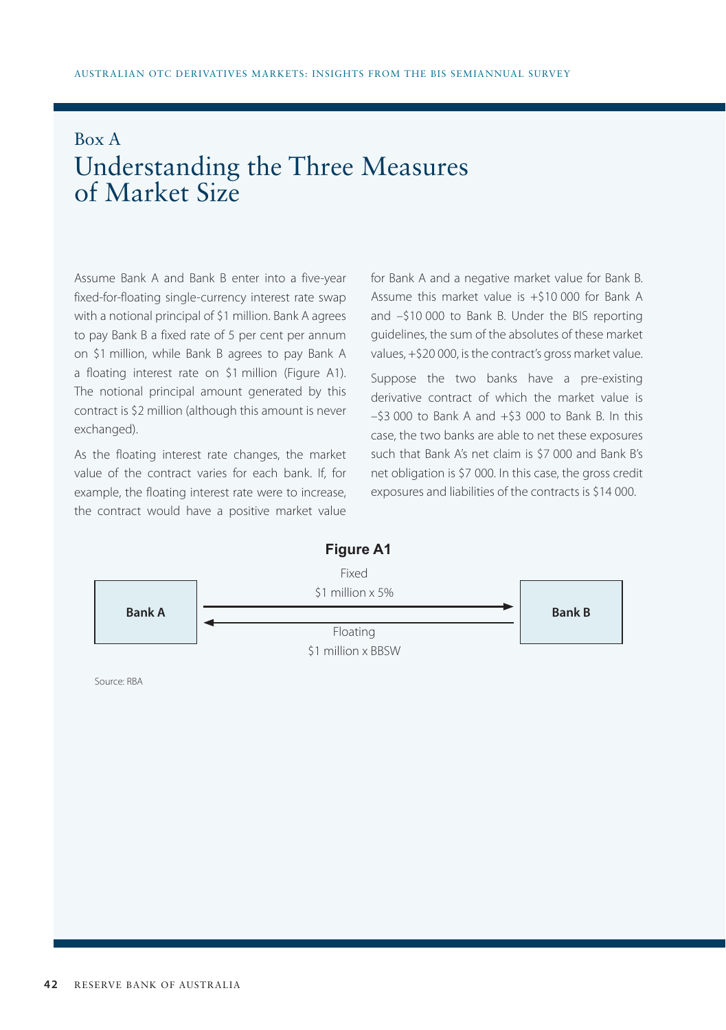## Box A Understanding the Three Measures of Market Size

Assume Bank A and Bank B enter into a five-year fixed-for-floating single-currency interest rate swap with a notional principal of \$1 million. Bank A agrees to pay Bank B a fixed rate of 5 per cent per annum on \$1 million, while Bank B agrees to pay Bank A a floating interest rate on \$1 million (Figure A1). The notional principal amount generated by this contract is \$2 million (although this amount is never exchanged).

As the floating interest rate changes, the market value of the contract varies for each bank. If, for example, the floating interest rate were to increase, the contract would have a positive market value for Bank A and a negative market value for Bank B. Assume this market value is +\$10 000 for Bank A and –\$10 000 to Bank B. Under the BIS reporting guidelines, the sum of the absolutes of these market values, +\$20 000, is the contract's gross market value.

Suppose the two banks have a pre-existing derivative contract of which the market value is  $-53,000$  to Bank A and  $+53,000$  to Bank B. In this case, the two banks are able to net these exposures such that Bank A's net claim is \$7 000 and Bank B's net obligation is \$7 000. In this case, the gross credit exposures and liabilities of the contracts is \$14 000.



Source: RBA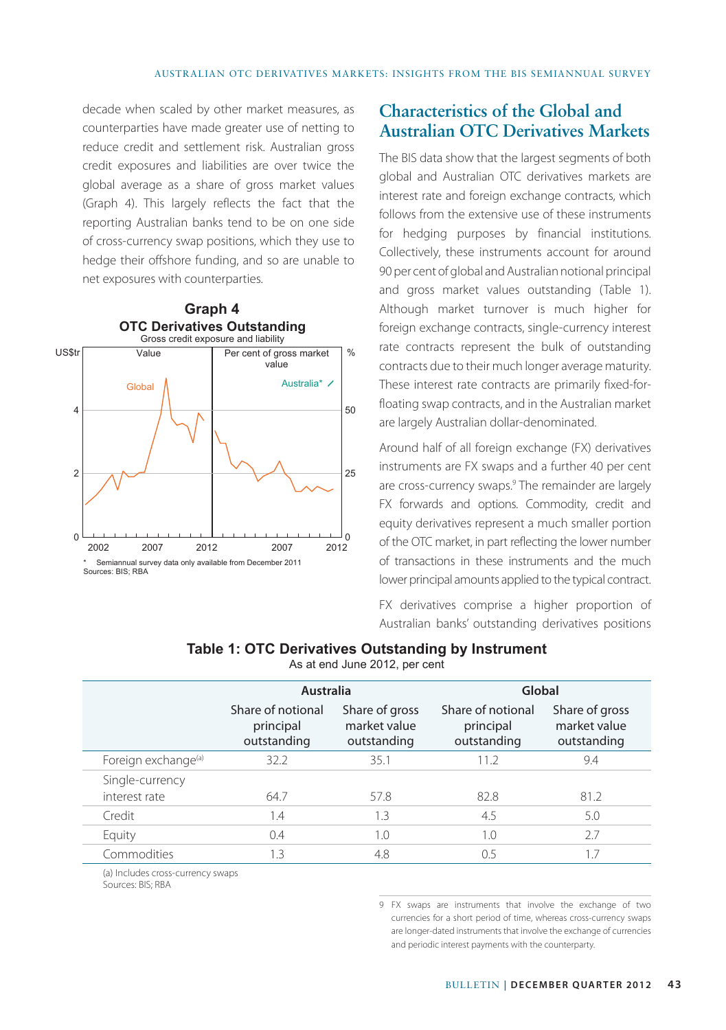decade when scaled by other market measures, as counterparties have made greater use of netting to reduce credit and settlement risk. Australian gross credit exposures and liabilities are over twice the global average as a share of gross market values (Graph 4). This largely reflects the fact that the reporting Australian banks tend to be on one side of cross-currency swap positions, which they use to hedge their offshore funding, and so are unable to net exposures with counterparties.



### **Characteristics of the Global and Australian OTC Derivatives Markets**

The BIS data show that the largest segments of both global and Australian OTC derivatives markets are interest rate and foreign exchange contracts, which follows from the extensive use of these instruments for hedging purposes by financial institutions. Collectively, these instruments account for around 90 per cent of global and Australian notional principal and gross market values outstanding (Table 1). Although market turnover is much higher for foreign exchange contracts, single-currency interest rate contracts represent the bulk of outstanding contracts due to their much longer average maturity. These interest rate contracts are primarily fixed-forfloating swap contracts, and in the Australian market are largely Australian dollar-denominated.

Around half of all foreign exchange (FX) derivatives instruments are FX swaps and a further 40 per cent are cross-currency swaps.<sup>9</sup> The remainder are largely FX forwards and options. Commodity, credit and equity derivatives represent a much smaller portion of the OTC market, in part reflecting the lower number of transactions in these instruments and the much lower principal amounts applied to the typical contract.

FX derivatives comprise a higher proportion of Australian banks' outstanding derivatives positions

#### **Table 1: OTC Derivatives Outstanding by Instrument**

As at end June 2012, per cent

|                                 | Australia                                     |                                               | Global                                        |                                               |
|---------------------------------|-----------------------------------------------|-----------------------------------------------|-----------------------------------------------|-----------------------------------------------|
|                                 | Share of notional<br>principal<br>outstanding | Share of gross<br>market value<br>outstanding | Share of notional<br>principal<br>outstanding | Share of gross<br>market value<br>outstanding |
| Foreign exchange <sup>(a)</sup> | 32.2                                          | 35.1                                          | 11.2                                          | 9.4                                           |
| Single-currency                 |                                               |                                               |                                               |                                               |
| interest rate                   | 647                                           | 57.8                                          | 82.8                                          | 81.2                                          |
| Credit                          | 1.4                                           | 1.3                                           | 4.5                                           | 5.0                                           |
| Equity                          | 0.4                                           | 1.0                                           | 1.0                                           | 27                                            |
| Commodities                     | 1.3                                           | 4.8                                           | 0.5                                           | 1.7                                           |

(a) Includes cross-currency swaps Sources: BIS; RBA

> 9 FX swaps are instruments that involve the exchange of two currencies for a short period of time, whereas cross-currency swaps are longer-dated instruments that involve the exchange of currencies and periodic interest payments with the counterparty.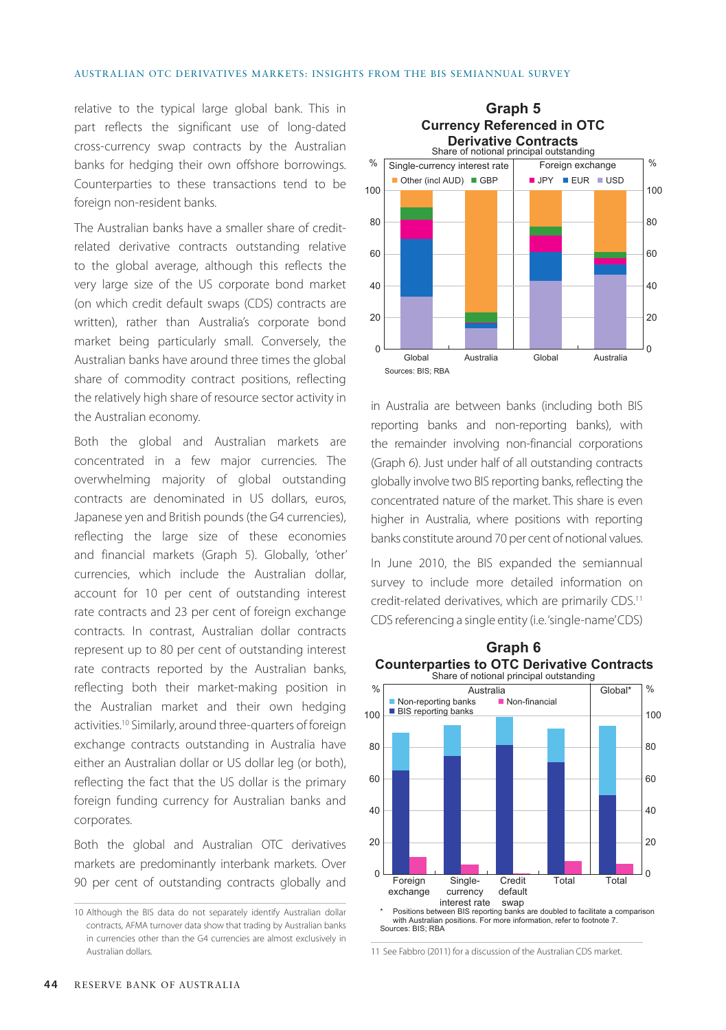#### Australian OTC Derivatives Markets: Insights from the BIS Semiannual Survey

relative to the typical large global bank. This in part reflects the significant use of long-dated cross-currency swap contracts by the Australian banks for hedging their own offshore borrowings. Counterparties to these transactions tend to be foreign non-resident banks.

The Australian banks have a smaller share of creditrelated derivative contracts outstanding relative to the global average, although this reflects the very large size of the US corporate bond market (on which credit default swaps (CDS) contracts are written), rather than Australia's corporate bond market being particularly small. Conversely, the Australian banks have around three times the global share of commodity contract positions, reflecting the relatively high share of resource sector activity in the Australian economy.

Both the global and Australian markets are concentrated in a few major currencies. The overwhelming majority of global outstanding contracts are denominated in US dollars, euros, Japanese yen and British pounds (the G4 currencies), reflecting the large size of these economies and financial markets (Graph 5). Globally, 'other' currencies, which include the Australian dollar, account for 10 per cent of outstanding interest rate contracts and 23 per cent of foreign exchange contracts. In contrast, Australian dollar contracts represent up to 80 per cent of outstanding interest rate contracts reported by the Australian banks, reflecting both their market-making position in the Australian market and their own hedging activities.10 Similarly, around three-quarters of foreign exchange contracts outstanding in Australia have either an Australian dollar or US dollar leg (or both), reflecting the fact that the US dollar is the primary foreign funding currency for Australian banks and corporates.

Both the global and Australian OTC derivatives markets are predominantly interbank markets. Over 90 per cent of outstanding contracts globally and



in Australia are between banks (including both BIS reporting banks and non-reporting banks), with the remainder involving non-financial corporations (Graph 6). Just under half of all outstanding contracts globally involve two BIS reporting banks, reflecting the concentrated nature of the market. This share is even higher in Australia, where positions with reporting banks constitute around 70 per cent of notional values.

In June 2010, the BIS expanded the semiannual survey to include more detailed information on credit-related derivatives, which are primarily CDS.<sup>11</sup> CDS referencing a single entity (i.e. 'single-name' CDS)



11 See Fabbro (2011) for a discussion of the Australian CDS market.

<sup>10</sup> Although the BIS data do not separately identify Australian dollar contracts, AFMA turnover data show that trading by Australian banks in currencies other than the G4 currencies are almost exclusively in Australian dollars.